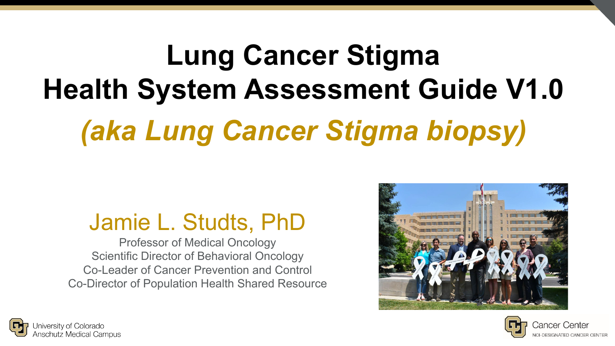# **Lung Cancer Stigma Health System Assessment Guide V1.0** *(aka Lung Cancer Stigma biopsy)*

### Jamie L. Studts, PhD

Professor of Medical Oncology Scientific Director of Behavioral Oncology Co-Leader of Cancer Prevention and Control Co-Director of Population Health Shared Resource





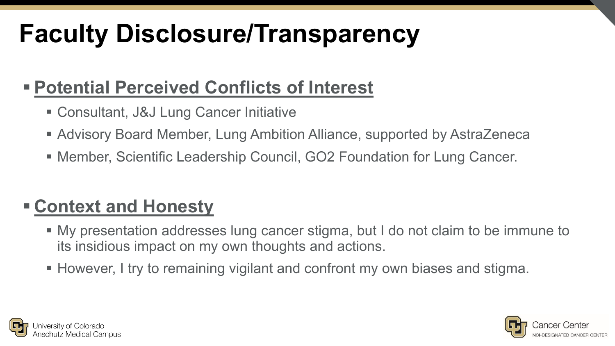## **Faculty Disclosure/Transparency**

#### **Potential Perceived Conflicts of Interest**

- Consultant, J&J Lung Cancer Initiative
- Advisory Board Member, Lung Ambition Alliance, supported by AstraZeneca
- Member, Scientific Leadership Council, GO2 Foundation for Lung Cancer.

### **Context and Honesty**

- My presentation addresses lung cancer stigma, but I do not claim to be immune to its insidious impact on my own thoughts and actions.
- However, I try to remaining vigilant and confront my own biases and stigma.



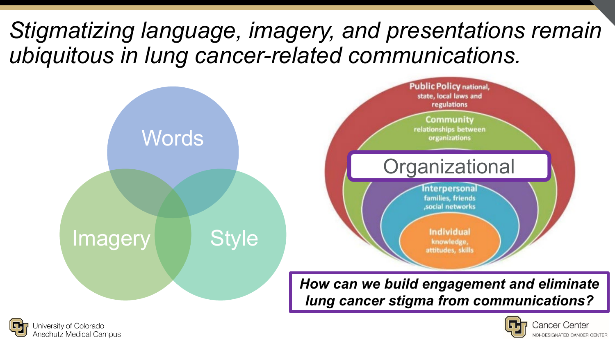### *Stigmatizing language, imagery, and presentations remain ubiquitous in lung cancer-related communications.*





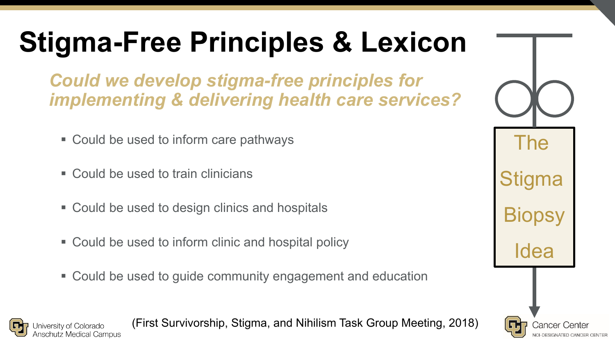## **Stigma-Free Principles & Lexicon**

*Could we develop stigma-free principles for implementing & delivering health care services?* 

- Could be used to inform care pathways
- Could be used to train clinicians

iiversity of Coloradc

- Could be used to design clinics and hospitals
- Could be used to inform clinic and hospital policy
- Could be used to guide community engagement and education

(First Survivorship, Stigma, and Nihilism Task Group Meeting, 2018)

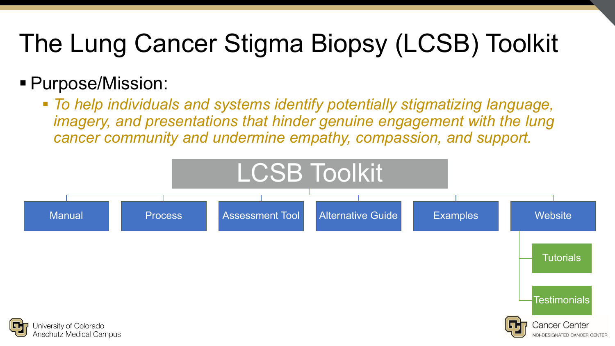## The Lung Cancer Stigma Biopsy (LCSB) Toolkit

#### Purpose/Mission:

 *To help individuals and systems identify potentially stigmatizing language, imagery, and presentations that hinder genuine engagement with the lung cancer community and undermine empathy, compassion, and support.*

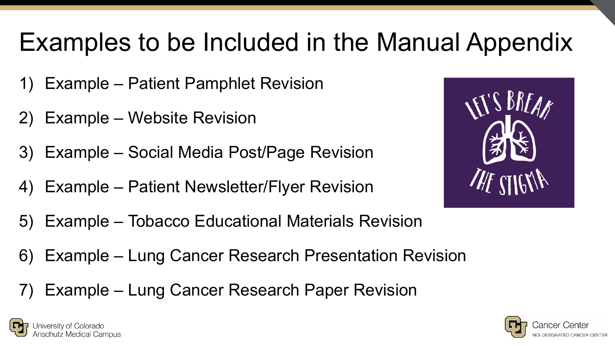## Examples to be Included in the Manual Appendix

- 1) Example Patient Pamphlet Revision
- 2) Example Website Revision
- 3) Example Social Media Post/Page Revision
- 4) Example Patient Newsletter/Flyer Revision



- 5) Example Tobacco Educational Materials Revision
- 6) Example Lung Cancer Research Presentation Revision
- Example Lung Cancer Research Paper Revision



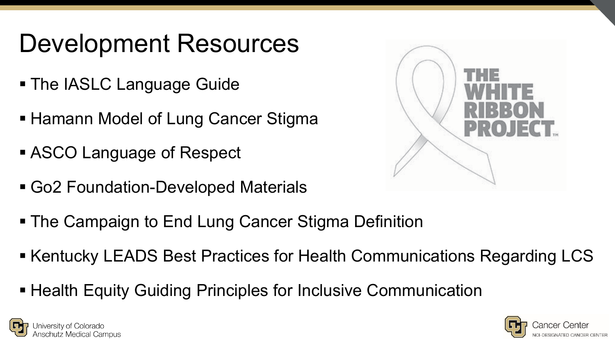### Development Resources

- **The IASLC Language Guide**
- **Hamann Model of Lung Cancer Stigma**
- ASCO Language of Respect
- Go2 Foundation-Developed Materials
- The Campaign to End Lung Cancer Stigma Definition
- Kentucky LEADS Best Practices for Health Communications Regarding LCS
- Health Equity Guiding Principles for Inclusive Communication